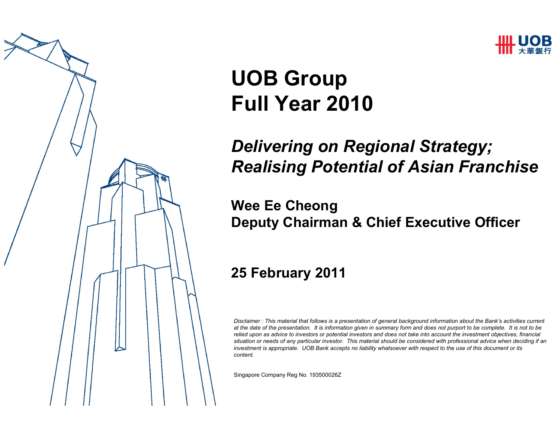

# UOB GroupFull Year 2010

### Delivering on Regional Strategy; Realising Potential of Asian Franchise

#### Wee Ee CheongDeputy Chairman & Chief Executive Officer

#### 25 February 2011

Disclaimer : This material that follows is a presentation of general background information about the Bank's activities current at the date of the presentation. It is information given in summary form and does not purport to be complete. It is not to be relied upon as advice to investors or potential investors and does not take into account the investment objectives, financial situation or needs of any particular investor. This material should be considered with professional advice when deciding if an investment is appropriate. UOB Bank accepts no liability whatsoever with respect to the use of this document or its content.

Singapore Company Reg No. 193500026Z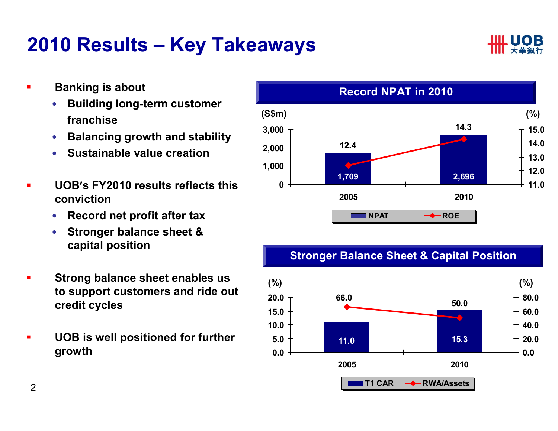### 2010 Results – Key Takeaways



- $\blacksquare$  Banking is about
	- • Building long-term customer franchise
	- $\bullet$ Balancing growth and stability
	- $\bullet$ Sustainable value creation
- п UOB'<sup>s</sup> FY2010 results reflects this conviction
	- Record net profit after tax  $\bullet$
	- • Stronger balance sheet & capital position
- п Strong balance sheet enables us to support customers and ride out credit cycles
- $\blacksquare$  UOB is well positioned for further growth



#### Stronger Balance Sheet & Capital Position

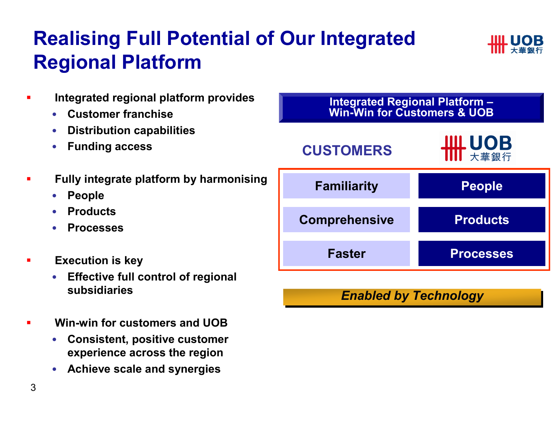## Realising Full Potential of Our Integrated Regional Platform



- $\blacksquare$  Integrated regional platform provides
	- •Customer franchise
	- $\bullet$ Distribution capabilities
	- •Funding access
- п Fully integrate platform by harmonising
	- •People
	- Products •
	- •Processes
- $\blacksquare$  Execution is key
	- • Effective full control of regional subsidiaries
- ▉ Win-win for customers and UOB
	- Consistent, positive customer •experience across the region
	- Achieve scale and synergies



#### Enabled by Technology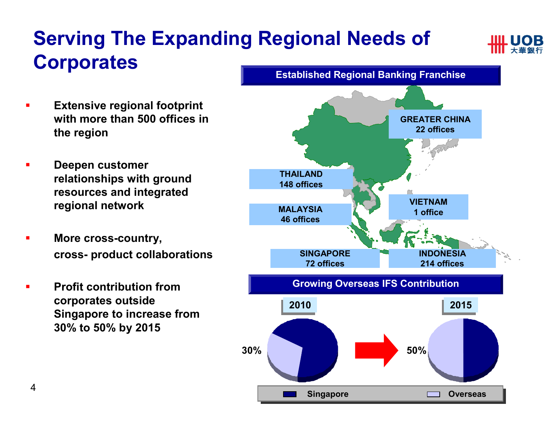# Serving The Expanding Regional Needs of **Corporates**



- п Extensive regional footprint with more than 500 offices in the region
- $\blacksquare$  Deepen customer relationships with ground resources and integrated regional network
- E More cross-country, cross- product collaborations
- п Profit contribution from corporates outside Singapore to increase from 30% to 50% by 2015

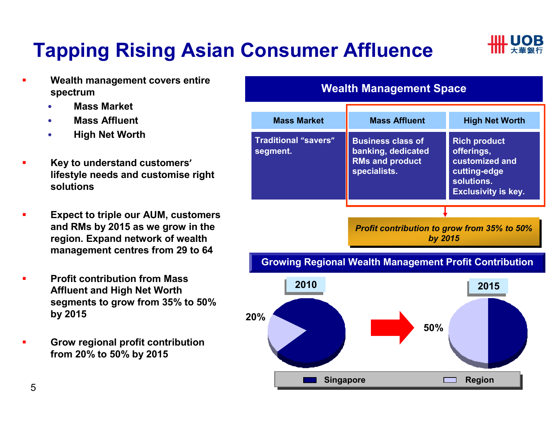# Tapping Rising Asian Consumer Affluence



- П Wealth management covers entire spectrum
	- Mass Market •
	- •Mass Affluent
	- •High Net Worth
- П Key to understand customers' lifestyle needs and customise right solutions
- П Expect to triple our AUM, customers and RMs by 2015 as we grow in the region. Expand network of wealth management centres from 29 to 64
- П Profit contribution from Mass Affluent and High Net Worth segments to grow from 35% to 50% by 2015
- ш Grow regional profit contribution from 20% to 50% by 2015

#### Wealth Management Space